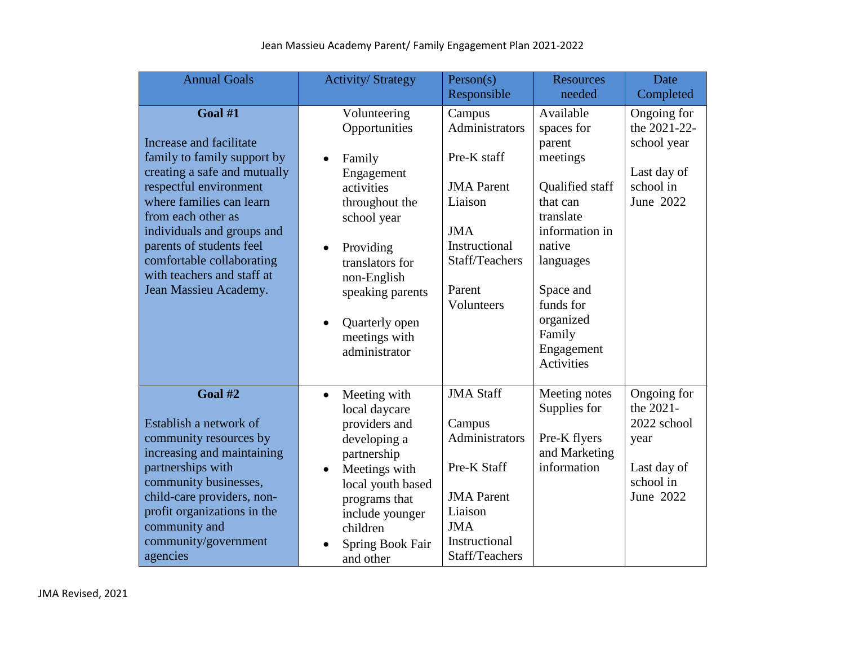| <b>Annual Goals</b>                                                                                                                                                                                                                                                                                                         | <b>Activity/Strategy</b>                                                                                                                                                                                                                                           | Person(s)                                                                                                                                        | <b>Resources</b>                                                                                                                                                                                                | Date                                                                                     |
|-----------------------------------------------------------------------------------------------------------------------------------------------------------------------------------------------------------------------------------------------------------------------------------------------------------------------------|--------------------------------------------------------------------------------------------------------------------------------------------------------------------------------------------------------------------------------------------------------------------|--------------------------------------------------------------------------------------------------------------------------------------------------|-----------------------------------------------------------------------------------------------------------------------------------------------------------------------------------------------------------------|------------------------------------------------------------------------------------------|
|                                                                                                                                                                                                                                                                                                                             |                                                                                                                                                                                                                                                                    | Responsible                                                                                                                                      | needed                                                                                                                                                                                                          | Completed                                                                                |
| Goal #1<br>Increase and facilitate<br>family to family support by<br>creating a safe and mutually<br>respectful environment<br>where families can learn<br>from each other as<br>individuals and groups and<br>parents of students feel<br>comfortable collaborating<br>with teachers and staff at<br>Jean Massieu Academy. | Volunteering<br>Opportunities<br>Family<br>$\bullet$<br>Engagement<br>activities<br>throughout the<br>school year<br>Providing<br>$\bullet$<br>translators for<br>non-English<br>speaking parents<br>Quarterly open<br>$\bullet$<br>meetings with<br>administrator | Campus<br>Administrators<br>Pre-K staff<br><b>JMA</b> Parent<br>Liaison<br><b>JMA</b><br>Instructional<br>Staff/Teachers<br>Parent<br>Volunteers | Available<br>spaces for<br>parent<br>meetings<br>Qualified staff<br>that can<br>translate<br>information in<br>native<br>languages<br>Space and<br>funds for<br>organized<br>Family<br>Engagement<br>Activities | Ongoing for<br>the 2021-22-<br>school year<br>Last day of<br>school in<br>June 2022      |
| Goal #2<br>Establish a network of<br>community resources by<br>increasing and maintaining<br>partnerships with<br>community businesses,<br>child-care providers, non-<br>profit organizations in the<br>community and<br>community/government<br>agencies                                                                   | Meeting with<br>$\bullet$<br>local daycare<br>providers and<br>developing a<br>partnership<br>Meetings with<br>$\bullet$<br>local youth based<br>programs that<br>include younger<br>children<br>Spring Book Fair<br>and other                                     | <b>JMA Staff</b><br>Campus<br>Administrators<br>Pre-K Staff<br><b>JMA</b> Parent<br>Liaison<br><b>JMA</b><br>Instructional<br>Staff/Teachers     | Meeting notes<br>Supplies for<br>Pre-K flyers<br>and Marketing<br>information                                                                                                                                   | Ongoing for<br>the 2021-<br>2022 school<br>year<br>Last day of<br>school in<br>June 2022 |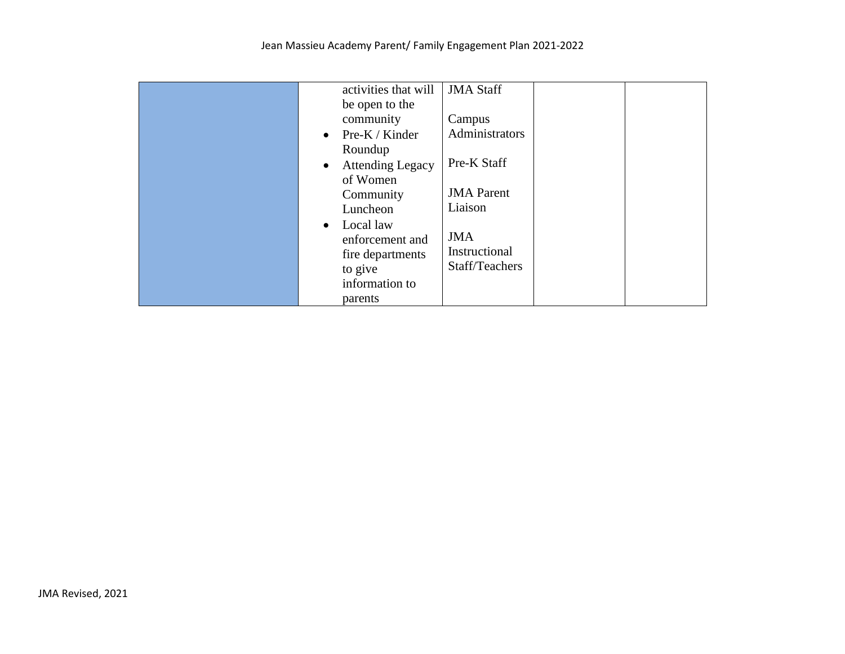| activities that will                 | <b>JMA Staff</b>  |
|--------------------------------------|-------------------|
| be open to the                       |                   |
|                                      |                   |
| community                            | Campus            |
| Pre-K / Kinder<br>$\bullet$          | Administrators    |
| Roundup                              |                   |
| <b>Attending Legacy</b><br>$\bullet$ | Pre-K Staff       |
| of Women                             |                   |
| Community                            | <b>JMA</b> Parent |
| Luncheon                             | Liaison           |
| Local law<br>$\bullet$               |                   |
| enforcement and                      | <b>JMA</b>        |
| fire departments                     | Instructional     |
|                                      | Staff/Teachers    |
| to give                              |                   |
| information to                       |                   |
| parents                              |                   |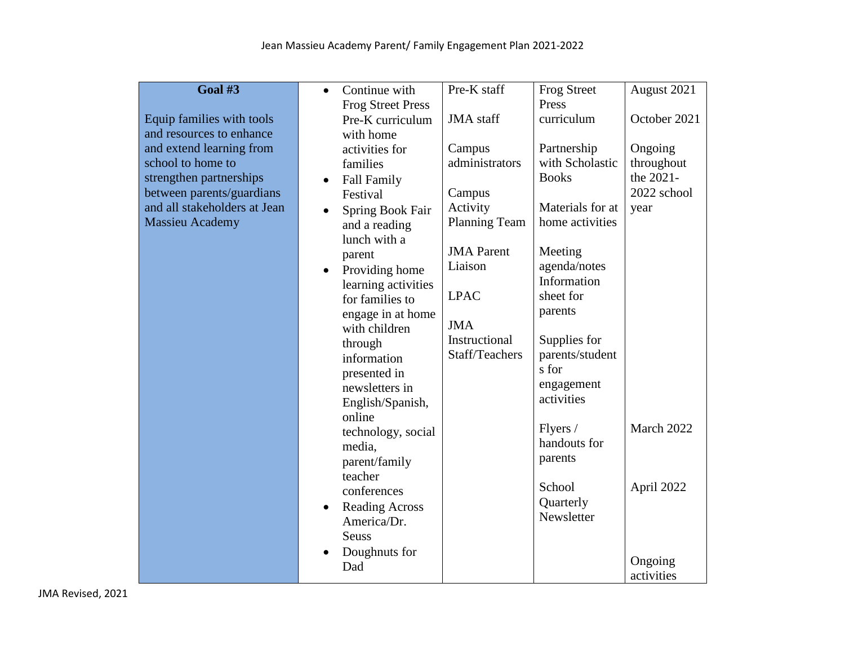| Goal #3                      | Continue with<br>$\bullet$         | Pre-K staff          | <b>Frog Street</b>       | August 2021  |
|------------------------------|------------------------------------|----------------------|--------------------------|--------------|
|                              | <b>Frog Street Press</b>           |                      | Press                    |              |
| Equip families with tools    | Pre-K curriculum                   | <b>JMA</b> staff     | curriculum               | October 2021 |
| and resources to enhance     | with home                          |                      |                          |              |
| and extend learning from     | activities for                     | Campus               | Partnership              | Ongoing      |
| school to home to            | families                           | administrators       | with Scholastic          | throughout   |
| strengthen partnerships      | <b>Fall Family</b><br>$\bullet$    |                      | <b>Books</b>             | the 2021-    |
| between parents/guardians    | Festival                           | Campus               |                          | 2022 school  |
| and all stakeholders at Jean | Spring Book Fair<br>$\bullet$      | Activity             | Materials for at         | year         |
| <b>Massieu Academy</b>       | and a reading                      | <b>Planning Team</b> | home activities          |              |
|                              | lunch with a                       |                      |                          |              |
|                              | parent                             | <b>JMA</b> Parent    | Meeting                  |              |
|                              | Providing home                     | Liaison              | agenda/notes             |              |
|                              | learning activities                |                      | Information              |              |
|                              | for families to                    | <b>LPAC</b>          | sheet for                |              |
|                              | engage in at home                  |                      | parents                  |              |
|                              | with children                      | <b>JMA</b>           |                          |              |
|                              | through                            | Instructional        | Supplies for             |              |
|                              | information                        | Staff/Teachers       | parents/student          |              |
|                              | presented in                       |                      | s for                    |              |
|                              | newsletters in                     |                      | engagement<br>activities |              |
|                              | English/Spanish,                   |                      |                          |              |
|                              | online                             |                      | Flyers /                 | March 2022   |
|                              | technology, social                 |                      | handouts for             |              |
|                              | media,                             |                      | parents                  |              |
|                              | parent/family                      |                      |                          |              |
|                              | teacher                            |                      | School                   | April 2022   |
|                              | conferences                        |                      | Quarterly                |              |
|                              | <b>Reading Across</b><br>$\bullet$ |                      | Newsletter               |              |
|                              | America/Dr.<br><b>Seuss</b>        |                      |                          |              |
|                              |                                    |                      |                          |              |
|                              | Doughnuts for                      |                      |                          | Ongoing      |
|                              | Dad                                |                      |                          | activities   |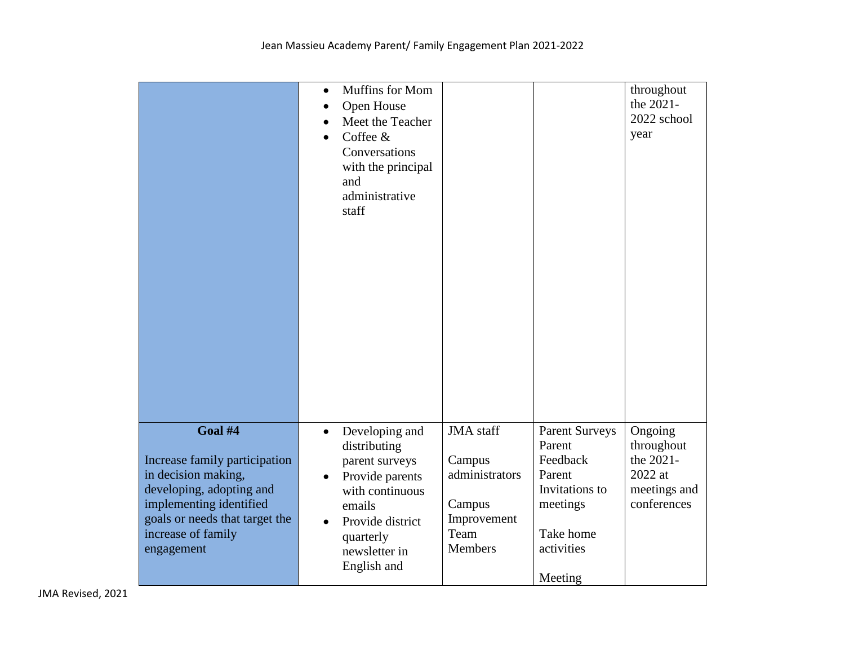|                                                                                                                                                                                              | Muffins for Mom<br>$\bullet$<br>Open House<br>$\bullet$<br>Meet the Teacher<br>Coffee &<br>$\bullet$<br>Conversations<br>with the principal<br>and<br>administrative<br>staff                            |                                                                                                 |                                                                                                                           | throughout<br>the 2021-<br>2022 school<br>year                               |
|----------------------------------------------------------------------------------------------------------------------------------------------------------------------------------------------|----------------------------------------------------------------------------------------------------------------------------------------------------------------------------------------------------------|-------------------------------------------------------------------------------------------------|---------------------------------------------------------------------------------------------------------------------------|------------------------------------------------------------------------------|
|                                                                                                                                                                                              |                                                                                                                                                                                                          |                                                                                                 |                                                                                                                           |                                                                              |
| Goal #4<br>Increase family participation<br>in decision making,<br>developing, adopting and<br>implementing identified<br>goals or needs that target the<br>increase of family<br>engagement | Developing and<br>$\bullet$<br>distributing<br>parent surveys<br>Provide parents<br>$\bullet$<br>with continuous<br>emails<br>Provide district<br>$\bullet$<br>quarterly<br>newsletter in<br>English and | <b>JMA</b> staff<br>Campus<br>administrators<br>Campus<br>Improvement<br>Team<br><b>Members</b> | <b>Parent Surveys</b><br>Parent<br>Feedback<br>Parent<br>Invitations to<br>meetings<br>Take home<br>activities<br>Meeting | Ongoing<br>throughout<br>the 2021-<br>2022 at<br>meetings and<br>conferences |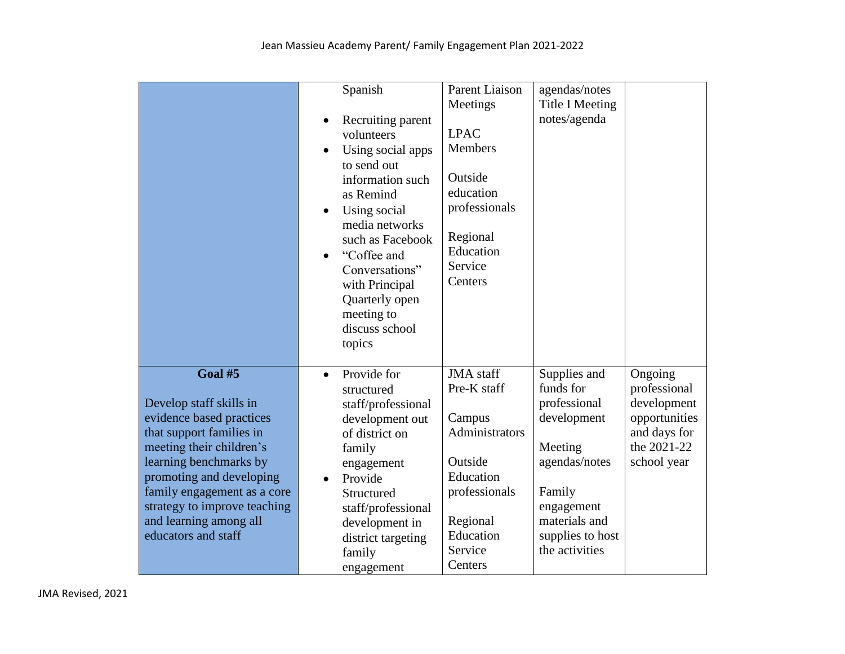|                                                                                                                                                                                                                                                                                              | Spanish<br>Recruiting parent<br>volunteers<br>Using social apps<br>to send out<br>information such<br>as Remind<br>Using social<br>$\bullet$<br>media networks<br>such as Facebook<br>"Coffee and<br>Conversations"<br>with Principal<br>Quarterly open<br>meeting to<br>discuss school<br>topics | Parent Liaison<br>Meetings<br><b>LPAC</b><br>Members<br>Outside<br>education<br>professionals<br>Regional<br>Education<br>Service<br>Centers        | agendas/notes<br><b>Title I Meeting</b><br>notes/agenda                                                                                                             |                                                                                                       |
|----------------------------------------------------------------------------------------------------------------------------------------------------------------------------------------------------------------------------------------------------------------------------------------------|---------------------------------------------------------------------------------------------------------------------------------------------------------------------------------------------------------------------------------------------------------------------------------------------------|-----------------------------------------------------------------------------------------------------------------------------------------------------|---------------------------------------------------------------------------------------------------------------------------------------------------------------------|-------------------------------------------------------------------------------------------------------|
| Goal #5<br>Develop staff skills in<br>evidence based practices<br>that support families in<br>meeting their children's<br>learning benchmarks by<br>promoting and developing<br>family engagement as a core<br>strategy to improve teaching<br>and learning among all<br>educators and staff | Provide for<br>$\bullet$<br>structured<br>staff/professional<br>development out<br>of district on<br>family<br>engagement<br>Provide<br>$\bullet$<br>Structured<br>staff/professional<br>development in<br>district targeting<br>family<br>engagement                                             | <b>JMA</b> staff<br>Pre-K staff<br>Campus<br>Administrators<br>Outside<br>Education<br>professionals<br>Regional<br>Education<br>Service<br>Centers | Supplies and<br>funds for<br>professional<br>development<br>Meeting<br>agendas/notes<br>Family<br>engagement<br>materials and<br>supplies to host<br>the activities | Ongoing<br>professional<br>development<br>opportunities<br>and days for<br>the 2021-22<br>school year |